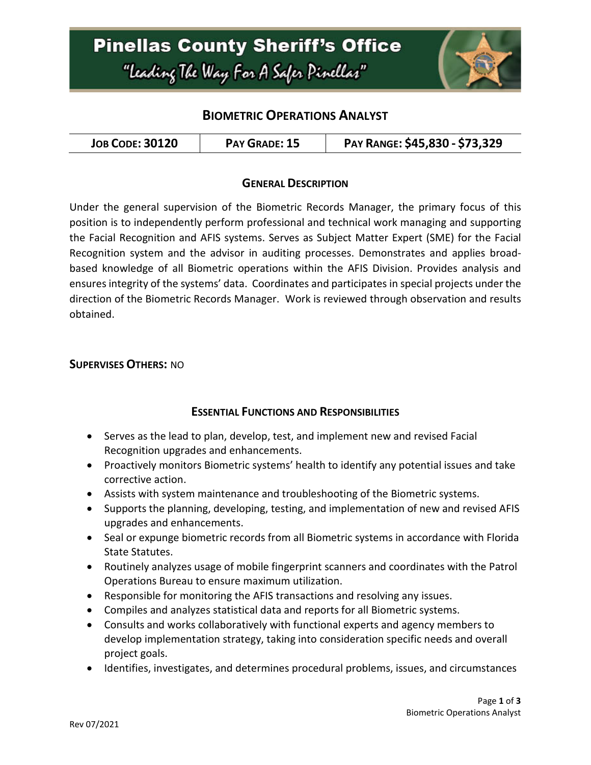# **Pinellas County Sheriff's Office** "Leading The Way For A Safer Pinellar"



## **BIOMETRIC OPERATIONS ANALYST**

### **GENERAL DESCRIPTION**

Under the general supervision of the Biometric Records Manager, the primary focus of this position is to independently perform professional and technical work managing and supporting the Facial Recognition and AFIS systems. Serves as Subject Matter Expert (SME) for the Facial Recognition system and the advisor in auditing processes. Demonstrates and applies broadbased knowledge of all Biometric operations within the AFIS Division. Provides analysis and ensures integrity of the systems' data. Coordinates and participates in special projects under the direction of the Biometric Records Manager. Work is reviewed through observation and results obtained.

#### **SUPERVISES OTHERS:** NO

### **ESSENTIAL FUNCTIONS AND RESPONSIBILITIES**

- Serves as the lead to plan, develop, test, and implement new and revised Facial Recognition upgrades and enhancements.
- Proactively monitors Biometric systems' health to identify any potential issues and take corrective action.
- Assists with system maintenance and troubleshooting of the Biometric systems.
- Supports the planning, developing, testing, and implementation of new and revised AFIS upgrades and enhancements.
- Seal or expunge biometric records from all Biometric systems in accordance with Florida State Statutes.
- Routinely analyzes usage of mobile fingerprint scanners and coordinates with the Patrol Operations Bureau to ensure maximum utilization.
- Responsible for monitoring the AFIS transactions and resolving any issues.
- Compiles and analyzes statistical data and reports for all Biometric systems.
- Consults and works collaboratively with functional experts and agency members to develop implementation strategy, taking into consideration specific needs and overall project goals.
- Identifies, investigates, and determines procedural problems, issues, and circumstances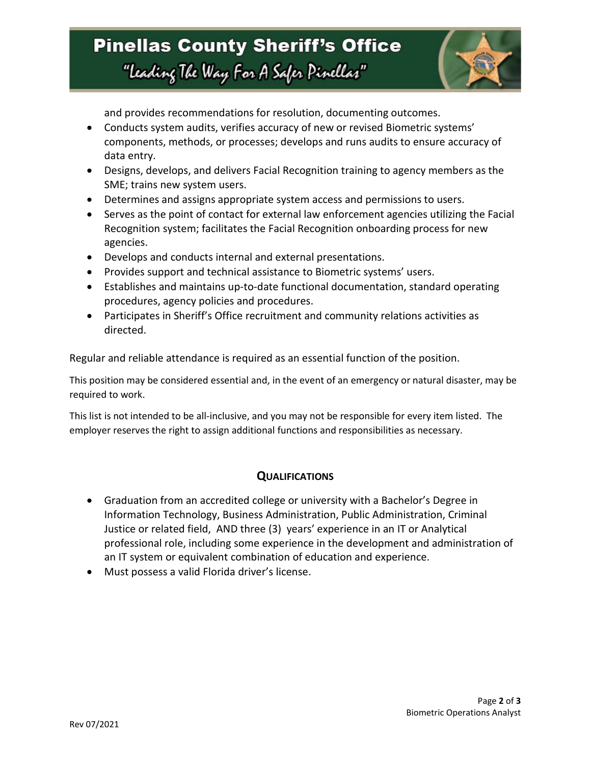# **Pinellas County Sheriff's Office** "Leading The Way For A Safer Pinellar"



and provides recommendations for resolution, documenting outcomes.

- Conducts system audits, verifies accuracy of new or revised Biometric systems' components, methods, or processes; develops and runs audits to ensure accuracy of data entry.
- Designs, develops, and delivers Facial Recognition training to agency members as the SME; trains new system users.
- Determines and assigns appropriate system access and permissions to users.
- Serves as the point of contact for external law enforcement agencies utilizing the Facial Recognition system; facilitates the Facial Recognition onboarding process for new agencies.
- Develops and conducts internal and external presentations.
- Provides support and technical assistance to Biometric systems' users.
- Establishes and maintains up-to-date functional documentation, standard operating procedures, agency policies and procedures.
- Participates in Sheriff's Office recruitment and community relations activities as directed.

Regular and reliable attendance is required as an essential function of the position.

This position may be considered essential and, in the event of an emergency or natural disaster, may be required to work.

This list is not intended to be all-inclusive, and you may not be responsible for every item listed. The employer reserves the right to assign additional functions and responsibilities as necessary.

## **QUALIFICATIONS**

- Graduation from an accredited college or university with a Bachelor's Degree in Information Technology, Business Administration, Public Administration, Criminal Justice or related field, AND three (3) years' experience in an IT or Analytical professional role, including some experience in the development and administration of an IT system or equivalent combination of education and experience.
- Must possess a valid Florida driver's license.